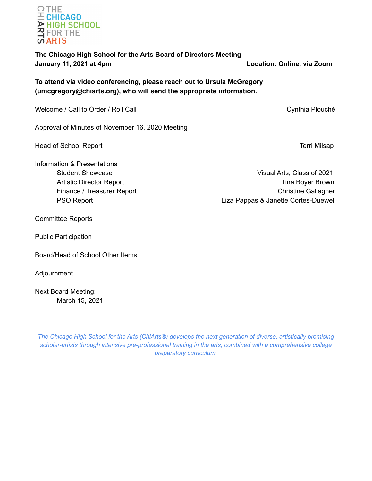# **The Chicago High School for the Arts Board of Directors Meeting January 11, 2021 at 4pm Location: Online, via Zoom**

**To attend via video conferencing, please reach out to Ursula McGregory (umcgregory@chiarts.org), who will send the appropriate information.**

Welcome / Call to Order / Roll Call Cynthia Plouché

Approval of Minutes of November 16, 2020 Meeting

Head of School Report **Terri Milsap** and the second second second second second second second second second second second second second second second second second second second second second second second second second se

Information & Presentations

Committee Reports

Public Participation

Board/Head of School Other Items

Adjournment

Next Board Meeting: March 15, 2021

*The Chicago High School for the Arts (ChiArts®) develops the next generation of diverse, artistically promising scholar-artists through intensive pre-professional training in the arts, combined with a comprehensive college preparatory curriculum.*

Student Showcase Visual Arts, Class of 2021 Artistic Director Report **Time Boyer Brown** Finance / Treasurer Report **Christian Christian Christian Christian Christian Christian Christian Christian Christian Christian Christian Christian Christian Christian Christian Christian Christian Christian Christian Chri** PSO Report **PSO Report EXAMPLE 2018** Liza Pappas & Janette Cortes-Duewel

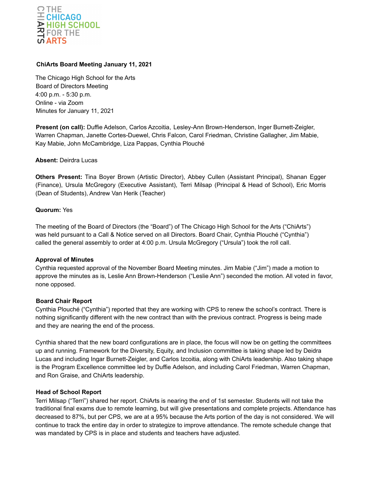

## **ChiArts Board Meeting January 11, 2021**

The Chicago High School for the Arts Board of Directors Meeting 4:00 p.m. - 5:30 p.m. Online - via Zoom Minutes for January 11, 2021

**Present (on call):** Duffie Adelson, Carlos Azcoitia, Lesley-Ann Brown-Henderson, Inger Burnett-Zeigler, Warren Chapman, Janette Cortes-Duewel, Chris Falcon, Carol Friedman, Christine Gallagher, Jim Mabie, Kay Mabie, John McCambridge, Liza Pappas, Cynthia Plouché

#### **Absent:** Deirdra Lucas

**Others Present:** Tina Boyer Brown (Artistic Director), Abbey Cullen (Assistant Principal), Shanan Egger (Finance), Ursula McGregory (Executive Assistant), Terri Milsap (Principal & Head of School), Eric Morris (Dean of Students), Andrew Van Herik (Teacher)

#### **Quorum:** Yes

The meeting of the Board of Directors (the "Board") of The Chicago High School for the Arts ("ChiArts") was held pursuant to a Call & Notice served on all Directors. Board Chair, Cynthia Plouché ("Cynthia") called the general assembly to order at 4:00 p.m. Ursula McGregory ("Ursula") took the roll call.

#### **Approval of Minutes**

Cynthia requested approval of the November Board Meeting minutes. Jim Mabie ("Jim") made a motion to approve the minutes as is, Leslie Ann Brown-Henderson ("Leslie Ann") seconded the motion. All voted in favor, none opposed.

#### **Board Chair Report**

Cynthia Plouché ("Cynthia") reported that they are working with CPS to renew the school's contract. There is nothing significantly different with the new contract than with the previous contract. Progress is being made and they are nearing the end of the process.

Cynthia shared that the new board configurations are in place, the focus will now be on getting the committees up and running. Framework for the Diversity, Equity, and Inclusion committee is taking shape led by Deidra Lucas and including Ingar Burnett-Zeigler, and Carlos Izcoitia, along with ChiArts leadership. Also taking shape is the Program Excellence committee led by Duffie Adelson, and including Carol Friedman, Warren Chapman, and Ron Graise, and ChiArts leadership.

#### **Head of School Report**

Terri Milsap ("Terri") shared her report. ChiArts is nearing the end of 1st semester. Students will not take the traditional final exams due to remote learning, but will give presentations and complete projects. Attendance has decreased to 87%, but per CPS, we are at a 95% because the Arts portion of the day is not considered. We will continue to track the entire day in order to strategize to improve attendance. The remote schedule change that was mandated by CPS is in place and students and teachers have adjusted.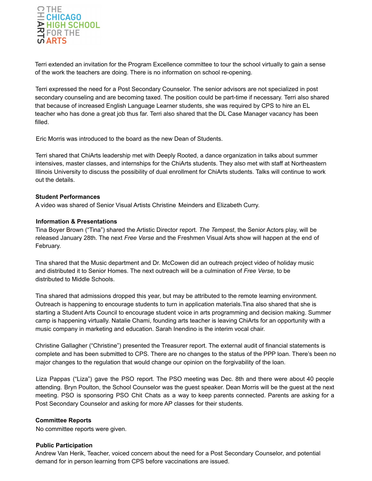

Terri extended an invitation for the Program Excellence committee to tour the school virtually to gain a sense of the work the teachers are doing. There is no information on school re-opening.

Terri expressed the need for a Post Secondary Counselor. The senior advisors are not specialized in post secondary counseling and are becoming taxed. The position could be part-time if necessary. Terri also shared that because of increased English Language Learner students, she was required by CPS to hire an EL teacher who has done a great job thus far. Terri also shared that the DL Case Manager vacancy has been filled.

Eric Morris was introduced to the board as the new Dean of Students.

Terri shared that ChiArts leadership met with Deeply Rooted, a dance organization in talks about summer intensives, master classes, and internships for the ChiArts students. They also met with staff at Northeastern Illinois University to discuss the possibility of dual enrollment for ChiArts students. Talks will continue to work out the details.

### **Student Performances**

A video was shared of Senior Visual Artists Christine Meinders and Elizabeth Curry.

### **Information & Presentations**

Tina Boyer Brown ("Tina") shared the Artistic Director report. *The Tempest*, the Senior Actors play, will be released January 28th. The next *Free Verse* and the Freshmen Visual Arts show will happen at the end of February.

Tina shared that the Music department and Dr. McCowen did an outreach project video of holiday music and distributed it to Senior Homes. The next outreach will be a culmination of *Free Verse,* to be distributed to Middle Schools.

Tina shared that admissions dropped this year, but may be attributed to the remote learning environment. Outreach is happening to encourage students to turn in application materials.Tina also shared that she is starting a Student Arts Council to encourage student voice in arts programming and decision making. Summer camp is happening virtually. Natalie Chami, founding arts teacher is leaving ChiArts for an opportunity with a music company in marketing and education. Sarah Inendino is the interim vocal chair.

Christine Gallagher ("Christine") presented the Treasurer report. The external audit of financial statements is complete and has been submitted to CPS. There are no changes to the status of the PPP loan. There's been no major changes to the regulation that would change our opinion on the forgivability of the loan.

Liza Pappas ("Liza") gave the PSO report. The PSO meeting was Dec. 8th and there were about 40 people attending. Bryn Poulton, the School Counselor was the guest speaker. Dean Morris will be the guest at the next meeting. PSO is sponsoring PSO Chit Chats as a way to keep parents connected. Parents are asking for a Post Secondary Counselor and asking for more AP classes for their students.

#### **Committee Reports**

No committee reports were given.

#### **Public Participation**

Andrew Van Herik, Teacher, voiced concern about the need for a Post Secondary Counselor, and potential demand for in person learning from CPS before vaccinations are issued.